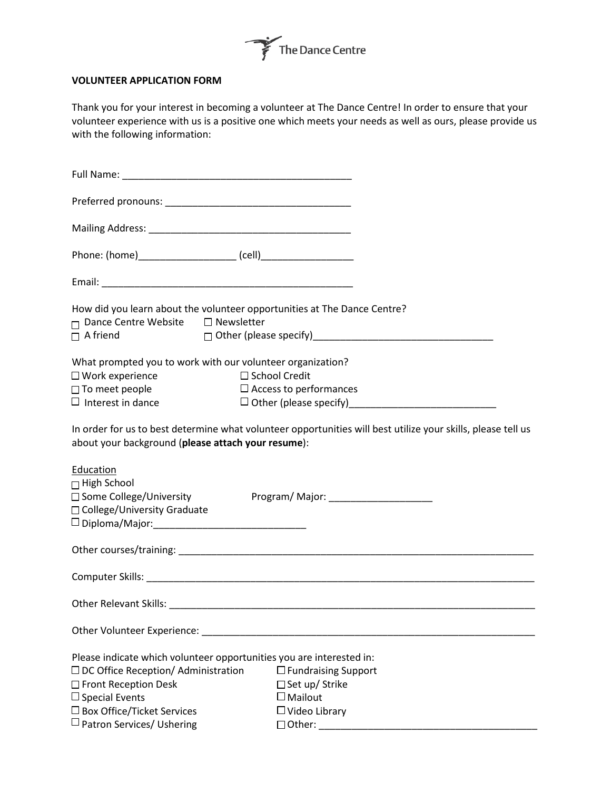

## **VOLUNTEER APPLICATION FORM**

Thank you for your interest in becoming a volunteer at The Dance Centre! In order to ensure that your volunteer experience with us is a positive one which meets your needs as well as ours, please provide us with the following information:

| How did you learn about the volunteer opportunities at The Dance Centre?<br>□ Dance Centre Website □ Newsletter |                                                                                                              |
|-----------------------------------------------------------------------------------------------------------------|--------------------------------------------------------------------------------------------------------------|
| $\Box$ A friend                                                                                                 |                                                                                                              |
| What prompted you to work with our volunteer organization?                                                      |                                                                                                              |
| $\Box$ Work experience                                                                                          | $\Box$ School Credit                                                                                         |
| □ To meet people                                                                                                | $\Box$ Access to performances                                                                                |
| $\Box$ Interest in dance                                                                                        |                                                                                                              |
| about your background (please attach your resume):                                                              | In order for us to best determine what volunteer opportunities will best utilize your skills, please tell us |
| Education<br>$\Box$ High School<br>□ Some College/University<br>□ College/University Graduate                   | Program/ Major: _______________________                                                                      |
|                                                                                                                 |                                                                                                              |
|                                                                                                                 |                                                                                                              |
|                                                                                                                 |                                                                                                              |
| Other Volunteer Experience:                                                                                     |                                                                                                              |
| Please indicate which volunteer opportunities you are interested in:                                            |                                                                                                              |
| $\Box$ DC Office Reception/ Administration                                                                      | $\square$ Fundraising Support                                                                                |
| □ Front Reception Desk                                                                                          | □ Set up/ Strike                                                                                             |
| $\Box$ Special Events                                                                                           | $\square$ Mailout                                                                                            |
| $\square$ Box Office/Ticket Services                                                                            | $\Box$ Video Library                                                                                         |
| $\sqcup$ Patron Services/ Ushering                                                                              |                                                                                                              |